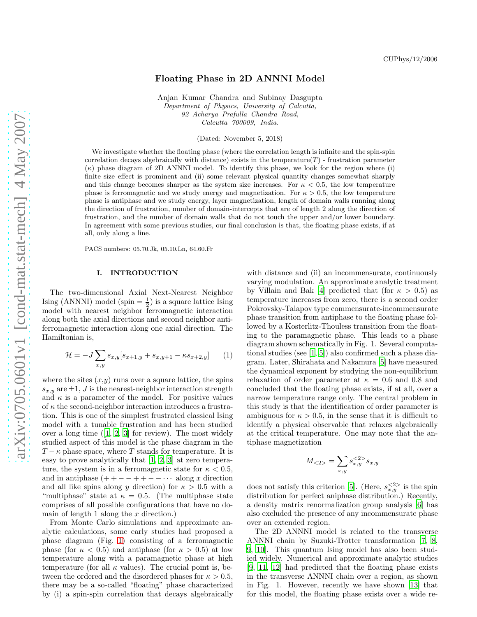# Floating Phase in 2D ANNNI Model

Anjan Kumar Chandra and Subinay Dasgupta Department of Physics, University of Calcutta, 92 Acharya Prafulla Chandra Road, Calcutta 700009, India.

(Dated: November 5, 2018)

We investigate whether the floating phase (where the correlation length is infinite and the spin-spin correlation decays algebraically with distance) exists in the temperature $(T)$  - frustration parameter  $(\kappa)$  phase diagram of 2D ANNNI model. To identify this phase, we look for the region where (i) finite size effect is prominent and (ii) some relevant physical quantity changes somewhat sharply and this change becomes sharper as the system size increases. For  $\kappa < 0.5$ , the low temperature phase is ferromagnetic and we study energy and magnetization. For  $\kappa > 0.5$ , the low temperature phase is antiphase and we study energy, layer magnetization, length of domain walls running along the direction of frustration, number of domain-intercepts that are of length 2 along the direction of frustration, and the number of domain walls that do not touch the upper and/or lower boundary. In agreement with some previous studies, our final conclusion is that, the floating phase exists, if at all, only along a line.

PACS numbers: 05.70.Jk, 05.10.Ln, 64.60.Fr

#### I. INTRODUCTION

The two-dimensional Axial Next-Nearest Neighbor Ising (ANNNI) model (spin  $=$   $\frac{1}{2}$ ) is a square lattice Ising model with nearest neighbor ferromagnetic interaction along both the axial directions and second neighbor antiferromagnetic interaction along one axial direction. The Hamiltonian is,

$$
\mathcal{H} = -J \sum_{x,y} s_{x,y} [s_{x+1,y} + s_{x,y+1} - \kappa s_{x+2,y}] \tag{1}
$$

where the sites  $(x,y)$  runs over a square lattice, the spins  $s_{x,y}$  are  $\pm 1$ , J is the nearest-neighbor interaction strength and  $\kappa$  is a parameter of the model. For positive values of  $\kappa$  the second-neighbor interaction introduces a frustration. This is one of the simplest frustrated classical Ising model with a tunable frustration and has been studied overa long time  $(1, 2, 3]$  $(1, 2, 3]$  $(1, 2, 3]$  $(1, 2, 3]$  for review). The most widely studied aspect of this model is the phase diagram in the  $T - \kappa$  phase space, where T stands for temperature. It is easy to prove analytically that [\[1](#page-8-0), [2,](#page-8-1) [3\]](#page-8-2) at zero temperature, the system is in a ferromagnetic state for  $\kappa < 0.5$ , and in antiphase  $(++-++-- \cdots)$  along x direction and all like spins along y direction) for  $\kappa > 0.5$  with a "multiphase" state at  $\kappa = 0.5$ . (The multiphase state comprises of all possible configurations that have no domain of length 1 along the  $x$  direction.)

From Monte Carlo simulations and approximate analytic calculations, some early studies had proposed a phase diagram (Fig. [1\)](#page-1-0) consisting of a ferromagnetic phase (for  $\kappa < 0.5$ ) and antiphase (for  $\kappa > 0.5$ ) at low temperature along with a paramagnetic phase at high temperature (for all  $\kappa$  values). The crucial point is, between the ordered and the disordered phases for  $\kappa > 0.5$ , there may be a so-called "floating" phase characterized by (i) a spin-spin correlation that decays algebraically

with distance and (ii) an incommensurate, continuously varying modulation. An approximate analytic treatment by Villain and Bak [\[4](#page-8-3)] predicted that (for  $\kappa > 0.5$ ) as temperature increases from zero, there is a second order Pokrovsky-Talapov type commensurate-incommensurate phase transition from antiphase to the floating phase followed by a Kosterlitz-Thouless transition from the floating to the paramagnetic phase. This leads to a phase diagram shown schematically in Fig. 1. Several computational studies (see [\[1](#page-8-0), [5\]](#page-8-4)) also confirmed such a phase diagram. Later, Shirahata and Nakamura [\[5](#page-8-4)] have measured the dynamical exponent by studying the non-equilibrium relaxation of order parameter at  $\kappa = 0.6$  and 0.8 and concluded that the floating phase exists, if at all, over a narrow temperature range only. The central problem in this study is that the identification of order parameter is ambiguous for  $\kappa > 0.5$ , in the sense that it is difficult to identify a physical observable that relaxes algebraically at the critical temperature. One may note that the antiphase magnetization

$$
M_{<2>} = \sum_{x,y} s_{x,y}^{<2>} s_{x,y}
$$

does not satisfy this criterion [\[5\]](#page-8-4). (Here,  $s_{x,y}^{<2>}$  is the spin distribution for perfect aniphase distribution.) Recently, a density matrix renormalization group analysis [\[6\]](#page-8-5) has also excluded the presence of any incommensurate phase over an extended region.

The 2D ANNNI model is related to the transverse ANNNI chain by Suzuki-Trotter transformation [\[7,](#page-8-6) [8](#page-8-7), [9,](#page-8-8) [10](#page-8-9)]. This quantum Ising model has also been studied widely. Numerical and approximate analytic studies [\[9,](#page-8-8) [11](#page-8-10), [12](#page-8-11)] had predicted that the floating phase exists in the transverse ANNNI chain over a region, as shown in Fig. 1. However, recently we have shown [\[13\]](#page-8-12) that for this model, the floating phase exists over a wide re-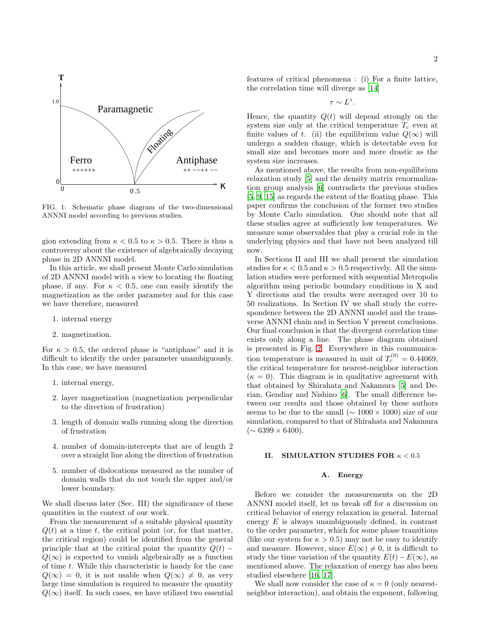

<span id="page-1-0"></span>FIG. 1: Schematic phase diagram of the two-dimensional ANNNI model according to previous studies.

gion extending from  $\kappa < 0.5$  to  $\kappa > 0.5$ . There is thus a controversy about the existence of algebraically decaying phase in 2D ANNNI model.

In this article, we shall present Monte Carlo simulation of 2D ANNNI model with a view to locating the floating phase, if any. For  $\kappa < 0.5$ , one can easily identify the magnetization as the order parameter and for this case we have therefore, measured

- 1. internal energy
- 2. magnetization.

For  $\kappa > 0.5$ , the ordered phase is "antiphase" and it is difficult to identify the order parameter unambiguously. In this case, we have measured

- 1. internal energy,
- 2. layer magnetization (magnetization perpendicular to the direction of frustration)
- 3. length of domain walls running along the direction of frustration
- 4. number of domain-intercepts that are of length 2 over a straight line along the direction of frustration
- 5. number of dislocations measured as the number of domain walls that do not touch the upper and/or lower boundary.

We shall discuss later (Sec. III) the significance of these quantities in the context of our work.

From the measurement of a suitable physical quantity  $Q(t)$  at a time t, the critical point (or, for that matter, the critical region) could be identified from the general principle that at the critical point the quantity  $Q(t)$  −  $Q(\infty)$  is expected to vanish algebraically as a function of time  $t$ . While this characteristic is handy for the case  $Q(\infty) = 0$ , it is not usable when  $Q(\infty) \neq 0$ , as very large time simulation is required to measure the quantity  $Q(\infty)$  itself. In such cases, we have utilized two essential

features of critical phenomena : (i) For a finite lattice, the correlation time will diverge as [\[14\]](#page-8-13)

 $\tau \sim L^z$ .

Hence, the quantity  $Q(t)$  will depend strongly on the system size only at the critical temperature  $T_c$  even at finite values of t. (ii) the equilibrium value  $Q(\infty)$  will undergo a sudden change, which is detectable even for small size and becomes more and more drastic as the system size increases.

As mentioned above, the results from non-equilibrium relaxation study [\[5\]](#page-8-4) and the density matrix renormalization group analysis [\[6\]](#page-8-5) contradicts the previous studies [\[5,](#page-8-4) [9](#page-8-8), [15\]](#page-8-14) as regards the extent of the floating phase. This paper confirms the conclusion of the former two studies by Monte Carlo simulation. One should note that all these studies agree at sufficiently low temperatures. We measure some observables that play a crucial role in the underlying physics and that have not been analyzed till now.

In Sections II and III we shall present the simulation studies for  $\kappa < 0.5$  and  $\kappa > 0.5$  respectively. All the simulation studies were performed with sequential Metropolis algorithm using periodic boundary conditions in X and Y directions and the results were averaged over 10 to 50 realizations. In Section IV we shall study the correspondence between the 2D ANNNI model and the transverse ANNNI chain and in Section V present conclusions. Our final conclusion is that the divergent correlation time exists only along a line. The phase diagram obtained is presented in Fig. [2.](#page-2-0) Everywhere in this communication temperature is measured in unit of  $T_c^{(0)} = 0.44069$ , the critical temperature for nearest-neighbor interaction  $(\kappa = 0)$ . This diagram is in qualitative agreement with that obtained by Shirahata and Nakamura [\[5](#page-8-4)] and Derian, Gendiar and Nishino [\[6](#page-8-5)]. The small difference between our results and those obtained by these authors seems to be due to the small ( $\sim 1000 \times 1000$ ) size of our simulation, compared to that of Shirahata and Nakamura  $({\sim 6399 \times 6400}).$ 

### II. SIMULATION STUDIES FOR  $\kappa < 0.5$

### A. Energy

Before we consider the measurements on the 2D ANNNI model itself, let us break off for a discussion on critical behavior of energy relaxation in general. Internal energy  $E$  is always unambiguously defined, in contrast to the order parameter, which for some phase transitions (like our system for  $\kappa > 0.5$ ) may not be easy to identify and measure. However, since  $E(\infty) \neq 0$ , it is difficult to study the time variation of the quantity  $E(t)-E(\infty)$ , as mentioned above. The relaxation of energy has also been studied elsewhere [\[16](#page-8-15), [17](#page-8-16)].

We shall now consider the case of  $\kappa = 0$  (only nearestneighbor interaction), and obtain the exponent, following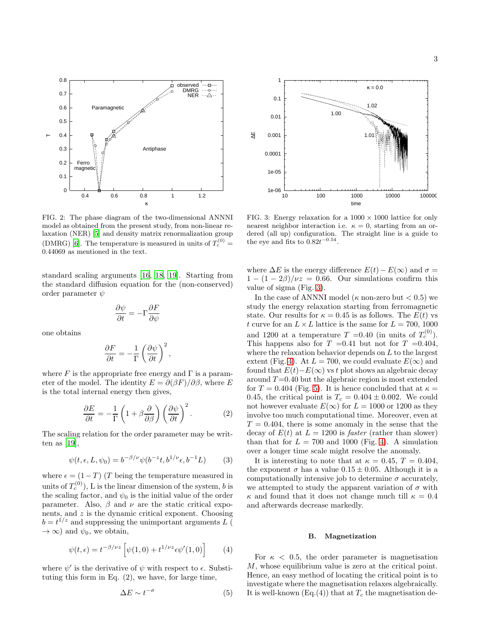

<span id="page-2-0"></span>FIG. 2: The phase diagram of the two-dimensional ANNNI model as obtained from the present study, from non-linear relaxation (NER) [\[5](#page-8-4)] and density matrix renormalization group (DMRG) [\[6](#page-8-5)]. The temperature is measured in units of  $T_c^{(0)}$  = 0.44069 as mentioned in the text.

standard scaling arguments [\[16](#page-8-15), [18,](#page-8-17) [19\]](#page-8-18). Starting from the standard diffusion equation for the (non-conserved) order parameter  $\psi$ 

$$
\frac{\partial \psi}{\partial t}=-\Gamma \frac{\partial F}{\partial \psi}
$$

one obtains

$$
\frac{\partial F}{\partial t} = -\frac{1}{\Gamma} \left( \frac{\partial \psi}{\partial t} \right)^2,
$$

where F is the appropriate free energy and  $\Gamma$  is a parameter of the model. The identity  $E = \partial(\beta F)/\partial\beta$ , where E is the total internal energy then gives,

$$
\frac{\partial E}{\partial t} = -\frac{1}{\Gamma} \left( 1 + \beta \frac{\partial}{\partial \beta} \right) \left( \frac{\partial \psi}{\partial t} \right)^2.
$$
 (2)

The scaling relation for the order parameter may be written as  $[19]$ ,

$$
\psi(t,\epsilon,L,\psi_0) = b^{-\beta/\nu} \psi(b^{-z}t, b^{1/\nu}\epsilon, b^{-1}L) \tag{3}
$$

where  $\epsilon = (1 - T)$  (T being the temperature measured in units of  $T_c^{(0)}$ ), L is the linear dimension of the system, b is the scaling factor, and  $\psi_0$  is the initial value of the order parameter. Also,  $\beta$  and  $\nu$  are the static critical exponents, and  $z$  is the dynamic critical exponent. Choosing  $b = t^{1/z}$  and suppressing the unimportant arguments L (  $\rightarrow \infty$ ) and  $\psi_0$ , we obtain,

$$
\psi(t,\epsilon) = t^{-\beta/\nu z} \left[ \psi(1,0) + t^{1/\nu z} \epsilon \psi'(1,0) \right]
$$
 (4)

where  $\psi'$  is the derivative of  $\psi$  with respect to  $\epsilon$ . Substituting this form in Eq. (2), we have, for large time,

$$
\Delta E \sim t^{-\sigma} \tag{5}
$$



<span id="page-2-1"></span>FIG. 3: Energy relaxation for a  $1000 \times 1000$  lattice for only nearest neighbor interaction i.e.  $\kappa = 0$ , starting from an ordered (all up) configuration. The straight line is a guide to the eye and fits to  $0.82t^{-0.54}$ .

where  $\Delta E$  is the energy difference  $E(t) - E(\infty)$  and  $\sigma =$  $1 - (1 - 2\beta)/\nu z = 0.66$ . Our simulations confirm this value of sigma (Fig. [3\)](#page-2-1).

In the case of ANNNI model ( $\kappa$  non-zero but  $< 0.5$ ) we study the energy relaxation starting from ferromagnetic state. Our results for  $\kappa = 0.45$  is as follows. The  $E(t)$  vs t curve for an  $L \times L$  lattice is the same for  $L = 700, 1000$ and 1200 at a temperature  $T = 0.40$  (in units of  $T_c^{(0)}$ ). This happens also for  $T = 0.41$  but not for  $T = 0.404$ , where the relaxation behavior depends on L to the largest extent (Fig. [4\)](#page-3-0). At  $L = 700$ , we could evaluate  $E(\infty)$  and found that  $E(t)-E(\infty)$  vs t plot shows an algebraic decay around  $T=0.40$  but the algebraic region is most extended for  $T = 0.404$  (Fig. [5\)](#page-3-1). It is hence concluded that at  $\kappa =$ 0.45, the critical point is  $T_c = 0.404 \pm 0.002$ . We could not however evaluate  $E(\infty)$  for  $L = 1000$  or 1200 as they involve too much computational time. Moreover, even at  $T = 0.404$ , there is some anomaly in the sense that the decay of  $E(t)$  at  $L = 1200$  is *faster* (rather than slower) than that for  $L = 700$  and 1000 (Fig. [4\)](#page-3-0). A simulation over a longer time scale might resolve the anomaly.

It is interesting to note that at  $\kappa = 0.45$ ,  $T = 0.404$ . the exponent  $\sigma$  has a value  $0.15 \pm 0.05$ . Although it is a computationally intensive job to determine  $\sigma$  accurately, we attempted to study the apparent variation of  $\sigma$  with  $\kappa$  and found that it does not change much till  $\kappa = 0.4$ and afterwards decrease markedly.

#### B. Magnetization

For  $\kappa$  < 0.5, the order parameter is magnetisation M, whose equilibrium value is zero at the critical point. Hence, an easy method of locating the critical point is to investigate where the magnetisation relaxes algebraically. It is well-known (Eq.(4)) that at  $T_c$  the magnetisation de-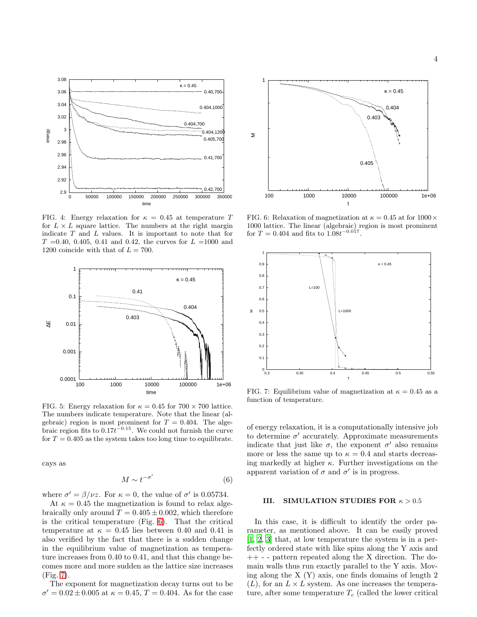

<span id="page-3-0"></span>FIG. 4: Energy relaxation for  $\kappa = 0.45$  at temperature T for  $L \times L$  square lattice. The numbers at the right margin indicate  $T$  and  $L$  values. It is important to note that for  $T = 0.40, 0.405, 0.41$  and 0.42, the curves for  $L = 1000$  and 1200 coincide with that of  $L = 700$ .



<span id="page-3-1"></span>FIG. 5: Energy relaxation for  $\kappa = 0.45$  for  $700 \times 700$  lattice. The numbers indicate temperature. Note that the linear (algebraic) region is most prominent for  $T = 0.404$ . The algebraic region fits to  $0.17t^{-0.15}$ . We could not furnish the curve for  $T = 0.405$  as the system takes too long time to equilibrate.

cays as

$$
M \sim t^{-\sigma'} \tag{6}
$$

where  $\sigma' = \beta/\nu z$ . For  $\kappa = 0$ , the value of  $\sigma'$  is 0.05734.

At  $\kappa = 0.45$  the magnetization is found to relax algebraically only around  $T = 0.405 \pm 0.002$ , which therefore is the critical temperature (Fig. [6\)](#page-3-2). That the critical temperature at  $\kappa = 0.45$  lies between 0.40 and 0.41 is also verified by the fact that there is a sudden change in the equilibrium value of magnetization as temperature increases from 0.40 to 0.41, and that this change becomes more and more sudden as the lattice size increases (Fig. [7\)](#page-3-3).

The exponent for magnetization decay turns out to be  $\sigma' = 0.02 \pm 0.005$  at  $\kappa = 0.45, T = 0.404$ . As for the case



<span id="page-3-2"></span>FIG. 6: Relaxation of magnetization at  $\kappa = 0.45$  at for  $1000 \times$ 1000 lattice. The linear (algebraic) region is most prominent for  $T = 0.404$  and fits to  $1.08t^{-0.017}$ .



<span id="page-3-3"></span>FIG. 7: Equilibrium value of magnetization at  $\kappa = 0.45$  as a function of temperature.

of energy relaxation, it is a computationally intensive job to determine  $\sigma'$  accurately. Approximate measurements indicate that just like  $\sigma$ , the exponent  $\sigma'$  also remains more or less the same up to  $\kappa = 0.4$  and starts decreasing markedly at higher  $\kappa$ . Further investigations on the apparent variation of  $\sigma$  and  $\sigma'$  is in progress.

#### III. SIMULATION STUDIES FOR  $\kappa > 0.5$

In this case, it is difficult to identify the order parameter, as mentioned above. It can be easily proved [\[1,](#page-8-0) [2,](#page-8-1) [3\]](#page-8-2) that, at low temperature the system is in a perfectly ordered state with like spins along the Y axis and ++ - - pattern repeated along the X direction. The domain walls thus run exactly parallel to the Y axis. Moving along the X (Y) axis, one finds domains of length 2  $(L)$ , for an  $L \times L$  system. As one increases the temperature, after some temperature  $T_c$  (called the lower critical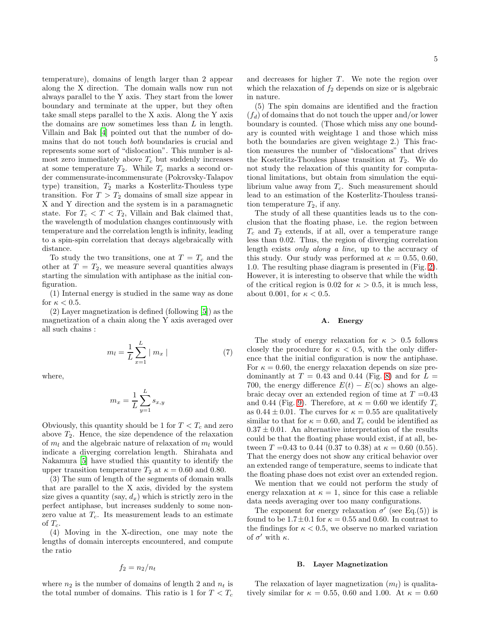temperature), domains of length larger than 2 appear along the X direction. The domain walls now run not always parallel to the Y axis. They start from the lower boundary and terminate at the upper, but they often take small steps parallel to the X axis. Along the Y axis the domains are now sometimes less than L in length. Villain and Bak [\[4\]](#page-8-3) pointed out that the number of domains that do not touch both boundaries is crucial and represents some sort of "dislocation". This number is almost zero immediately above  $T_c$  but suddenly increases at some temperature  $T_2$ . While  $T_c$  marks a second order commensurate-incommensurate (Pokrovsky-Talapov type) transition,  $T_2$  marks a Kosterlitz-Thouless type transition. For  $T > T_2$  domains of small size appear in X and Y direction and the system is in a paramagnetic state. For  $T_c < T < T_2$ , Villain and Bak claimed that, the wavelength of modulation changes continuously with temperature and the correlation length is infinity, leading to a spin-spin correlation that decays algebraically with distance.

To study the two transitions, one at  $T = T_c$  and the other at  $T = T_2$ , we measure several quantities always starting the simulation with antiphase as the initial configuration.

(1) Internal energy is studied in the same way as done for  $\kappa < 0.5$ .

(2) Layer magnetization is defined (following [\[5\]](#page-8-4)) as the magnetization of a chain along the Y axis averaged over all such chains :

$$
m_l = \frac{1}{L} \sum_{x=1}^{L} |m_x|
$$
 (7)

where,

$$
m_x = \frac{1}{L} \sum_{y=1}^{L} s_{x,y}
$$

Obviously, this quantity should be 1 for  $T < T_c$  and zero above  $T_2$ . Hence, the size dependence of the relaxation of  $m_l$  and the algebraic nature of relaxation of  $m_l$  would indicate a diverging correlation length. Shirahata and Nakamura [\[5](#page-8-4)] have studied this quantity to identify the upper transition temperature  $T_2$  at  $\kappa = 0.60$  and 0.80.

(3) The sum of length of the segments of domain walls that are parallel to the X axis, divided by the system size gives a quantity (say,  $d_x$ ) which is strictly zero in the perfect antiphase, but increases suddenly to some nonzero value at  $T_c$ . Its measurement leads to an estimate of  $T_c$ .

(4) Moving in the X-direction, one may note the lengths of domain intercepts encountered, and compute the ratio

$$
f_2 = n_2/n_t
$$

where  $n_2$  is the number of domains of length 2 and  $n_t$  is the total number of domains. This ratio is 1 for  $T < T_c$ 

and decreases for higher  $T$ . We note the region over which the relaxation of  $f_2$  depends on size or is algebraic in nature.

(5) The spin domains are identified and the fraction  $(f_d)$  of domains that do not touch the upper and/or lower boundary is counted. (Those which miss any one boundary is counted with weightage 1 and those which miss both the boundaries are given weightage 2.) This fraction measures the number of "dislocations" that drives the Kosterlitz-Thouless phase transition at  $T_2$ . We do not study the relaxation of this quantity for computational limitations, but obtain from simulation the equilibrium value away from  $T_c$ . Such measurement should lead to an estimation of the Kosterlitz-Thouless transition temperature  $T_2$ , if any.

The study of all these quantities leads us to the conclusion that the floating phase, i.e. the region between  $T_c$  and  $T_2$  extends, if at all, over a temperature range less than 0.02. Thus, the region of diverging correlation length exists only along a line, up to the accuracy of this study. Our study was performed at  $\kappa = 0.55, 0.60$ , 1.0. The resulting phase diagram is presented in (Fig. [2\)](#page-2-0). However, it is interesting to observe that while the width of the critical region is 0.02 for  $\kappa > 0.5$ , it is much less, about 0.001, for  $\kappa < 0.5$ .

### A. Energy

The study of energy relaxation for  $\kappa > 0.5$  follows closely the procedure for  $\kappa < 0.5$ , with the only difference that the initial configuration is now the antiphase. For  $\kappa = 0.60$ , the energy relaxation depends on size predominantly at  $T = 0.43$  and 0.44 (Fig. [8\)](#page-5-0) and for  $L =$ 700, the energy difference  $E(t) - E(\infty)$  shows an algebraic decay over an extended region of time at  $T = 0.43$ and 0.44 (Fig. [9\)](#page-5-1). Therefore, at  $\kappa = 0.60$  we identify  $T_c$ as  $0.44 \pm 0.01$ . The curves for  $\kappa = 0.55$  are qualitatively similar to that for  $\kappa = 0.60$ , and  $T_c$  could be identified as  $0.37 \pm 0.01$ . An alternative interpretation of the results could be that the floating phase would exist, if at all, between  $T = 0.43$  to 0.44 (0.37 to 0.38) at  $\kappa = 0.60$  (0.55). That the energy does not show any critical behavior over an extended range of temperature, seems to indicate that the floating phase does not exist over an extended region.

We mention that we could not perform the study of energy relaxation at  $\kappa = 1$ , since for this case a reliable data needs averaging over too many configurations.

The exponent for energy relaxation  $\sigma'$  (see Eq.(5)) is found to be  $1.7 \pm 0.1$  for  $\kappa = 0.55$  and 0.60. In contrast to the findings for  $\kappa < 0.5$ , we observe no marked variation of  $\sigma'$  with  $\kappa$ .

### B. Layer Magnetization

The relaxation of layer magnetization  $(m_l)$  is qualitatively similar for  $\kappa = 0.55, 0.60$  and 1.00. At  $\kappa = 0.60$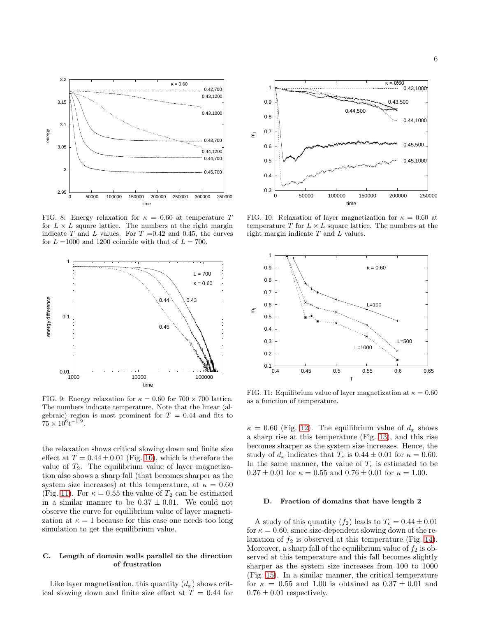

<span id="page-5-0"></span>FIG. 8: Energy relaxation for  $\kappa = 0.60$  at temperature T for  $L \times L$  square lattice. The numbers at the right margin indicate T and L values. For  $T = 0.42$  and 0.45, the curves for  $L = 1000$  and 1200 coincide with that of  $L = 700$ .



<span id="page-5-1"></span>FIG. 9: Energy relaxation for  $\kappa = 0.60$  for  $700 \times 700$  lattice. The numbers indicate temperature. Note that the linear (algebraic) region is most prominent for  $T = 0.44$  and fits to  $75 \times 10^6 t^{-1.9}.$ 

the relaxation shows critical slowing down and finite size effect at  $T = 0.44 \pm 0.01$  (Fig. [10\)](#page-5-2), which is therefore the value of  $T_2$ . The equilibrium value of layer magnetization also shows a sharp fall (that becomes sharper as the system size increases) at this temperature, at  $\kappa = 0.60$ (Fig. [11\)](#page-5-3). For  $\kappa = 0.55$  the value of  $T_2$  can be estimated in a similar manner to be  $0.37 \pm 0.01$ . We could not observe the curve for equilibrium value of layer magnetization at  $\kappa = 1$  because for this case one needs too long simulation to get the equilibrium value.

## C. Length of domain walls parallel to the direction of frustration

Like layer magnetisation, this quantity  $(d_x)$  shows critical slowing down and finite size effect at  $T = 0.44$  for



<span id="page-5-2"></span>FIG. 10: Relaxation of layer magnetization for  $\kappa = 0.60$  at temperature T for  $L \times L$  square lattice. The numbers at the right margin indicate T and L values.



<span id="page-5-3"></span>FIG. 11: Equilibrium value of layer magnetization at  $\kappa = 0.60$ as a function of temperature.

 $\kappa = 0.60$  (Fig. [12\)](#page-6-0). The equilibrium value of  $d_x$  shows a sharp rise at this temperature (Fig. [13\)](#page-6-1), and this rise becomes sharper as the system size increases. Hence, the study of  $d_x$  indicates that  $T_c$  is  $0.44 \pm 0.01$  for  $\kappa = 0.60$ . In the same manner, the value of  $T_c$  is estimated to be  $0.37 \pm 0.01$  for  $\kappa = 0.55$  and  $0.76 \pm 0.01$  for  $\kappa = 1.00$ .

#### D. Fraction of domains that have length 2

A study of this quantity  $(f_2)$  leads to  $T_c = 0.44 \pm 0.01$ for  $\kappa = 0.60$ , since size-dependent slowing down of the relaxation of  $f_2$  is observed at this temperature (Fig. [14\)](#page-6-2). Moreover, a sharp fall of the equilibrium value of  $f_2$  is observed at this temperature and this fall becomes slightly sharper as the system size increases from 100 to 1000 (Fig. [15\)](#page-6-3). In a similar manner, the critical temperature for  $\kappa = 0.55$  and 1.00 is obtained as  $0.37 \pm 0.01$  and  $0.76 \pm 0.01$  respectively.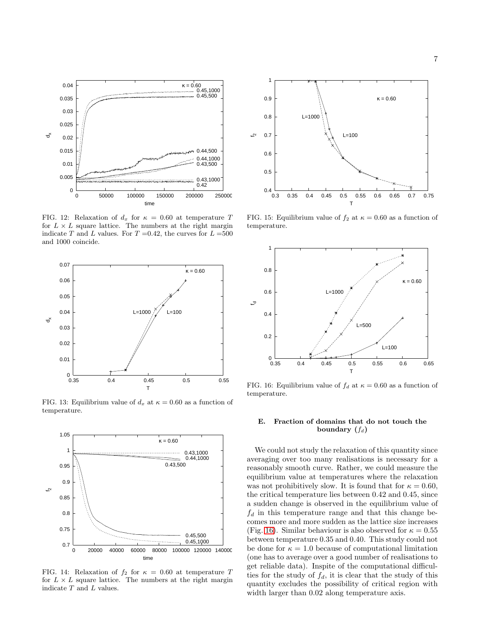

<span id="page-6-0"></span>FIG. 12: Relaxation of  $d_x$  for  $\kappa = 0.60$  at temperature T for  $L \times L$  square lattice. The numbers at the right margin indicate T and L values. For  $T = 0.42$ , the curves for  $L = 500$ and 1000 coincide.



<span id="page-6-1"></span>FIG. 13: Equilibrium value of  $d_x$  at  $\kappa = 0.60$  as a function of temperature.



<span id="page-6-2"></span>FIG. 14: Relaxation of  $f_2$  for  $\kappa = 0.60$  at temperature T for  $L \times L$  square lattice. The numbers at the right margin indicate  $T$  and  $L$  values.



<span id="page-6-3"></span>FIG. 15: Equilibrium value of  $f_2$  at  $\kappa = 0.60$  as a function of temperature.



<span id="page-6-4"></span>FIG. 16: Equilibrium value of  $f_d$  at  $\kappa = 0.60$  as a function of temperature.

### E. Fraction of domains that do not touch the boundary  $(f_d)$

We could not study the relaxation of this quantity since averaging over too many realisations is necessary for a reasonably smooth curve. Rather, we could measure the equilibrium value at temperatures where the relaxation was not prohibitively slow. It is found that for  $\kappa = 0.60$ , the critical temperature lies between 0.42 and 0.45, since a sudden change is observed in the equilibrium value of  $f_d$  in this temperature range and that this change becomes more and more sudden as the lattice size increases (Fig. [16\)](#page-6-4). Similar behaviour is also observed for  $\kappa = 0.55$ between temperature 0.35 and 0.40. This study could not be done for  $\kappa = 1.0$  because of computational limitation (one has to average over a good number of realisations to get reliable data). Inspite of the computational difficulties for the study of  $f_d$ , it is clear that the study of this quantity excludes the possibility of critical region with width larger than 0.02 along temperature axis.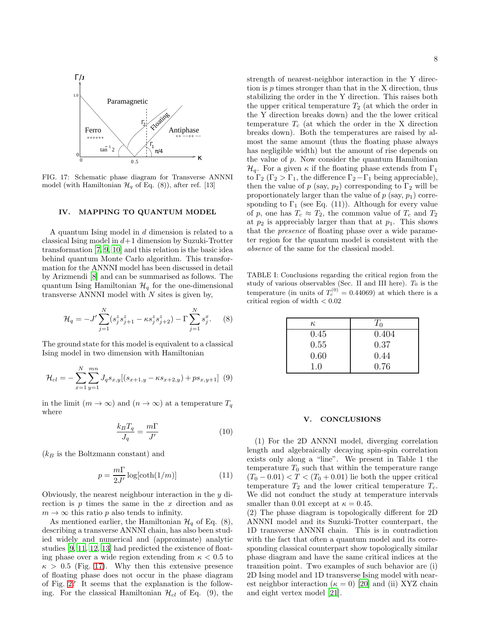

<span id="page-7-0"></span>FIG. 17: Schematic phase diagram for Transverse ANNNI model (with Hamiltonian  $\mathcal{H}_q$  of Eq. (8)), after ref. [13]

#### IV. MAPPING TO QUANTUM MODEL

A quantum Ising model in d dimension is related to a classical Ising model in  $d+1$  dimension by Suzuki-Trotter transformation [\[7,](#page-8-6) [9](#page-8-8), [10](#page-8-9)] and this relation is the basic idea behind quantum Monte Carlo algorithm. This transformation for the ANNNI model has been discussed in detail by Arizmendi [\[8](#page-8-7)] and can be summarised as follows. The quantum Ising Hamiltonian  $\mathcal{H}_q$  for the one-dimensional transverse ANNNI model with  $N$  sites is given by,

$$
\mathcal{H}_q = -J' \sum_{j=1}^N (s_j^z s_{j+1}^z - \kappa s_j^z s_{j+2}^z) - \Gamma \sum_{j=1}^N s_j^x. \tag{8}
$$

The ground state for this model is equivalent to a classical Ising model in two dimension with Hamiltonian

$$
\mathcal{H}_{cl} = -\sum_{x=1}^{N} \sum_{y=1}^{mn} J_q s_{x,y} [(s_{x+1,y} - \kappa s_{x+2,y}) + p s_{x,y+1}] \tag{9}
$$

in the limit  $(m \to \infty)$  and  $(n \to \infty)$  at a temperature  $T_q$ where

$$
\frac{k_B T_q}{J_q} = \frac{m\Gamma}{J'}\tag{10}
$$

 $(k_B$  is the Boltzmann constant) and

$$
p = \frac{m\Gamma}{2J'} \log[\coth(1/m)] \tag{11}
$$

Obviously, the nearest neighbour interaction in the y direction is  $p$  times the same in the  $x$  direction and as  $m \to \infty$  this ratio p also tends to infinity.

As mentioned earlier, the Hamiltonian  $\mathcal{H}_q$  of Eq. (8), describing a transverse ANNNI chain, has also been studied widely and numerical and (approximate) analytic studies [\[9](#page-8-8), [11,](#page-8-10) [12](#page-8-11), [13\]](#page-8-12) had predicted the existence of floating phase over a wide region extending from  $\kappa < 0.5$  to  $\kappa > 0.5$  (Fig. [17\)](#page-7-0). Why then this extensive presence of floating phase does not occur in the phase diagram of Fig. [2?](#page-2-0) It seems that the explanation is the following. For the classical Hamiltonian  $\mathcal{H}_{cl}$  of Eq. (9), the strength of nearest-neighbor interaction in the Y direction is p times stronger than that in the X direction, thus stabilizing the order in the Y direction. This raises both the upper critical temperature  $T_2$  (at which the order in the Y direction breaks down) and the the lower critical temperature  $T_c$  (at which the order in the X direction breaks down). Both the temperatures are raised by almost the same amount (thus the floating phase always has negligible width) but the amount of rise depends on the value of  $p$ . Now consider the quantum Hamiltonian  $\mathcal{H}_q$ . For a given  $\kappa$  if the floating phase extends from  $\Gamma_1$ to  $\Gamma_2$  ( $\Gamma_2 > \Gamma_1$ , the difference  $\Gamma_2 - \Gamma_1$  being appreciable), then the value of p (say,  $p_2$ ) corresponding to  $\Gamma_2$  will be proportionately larger than the value of  $p$  (say,  $p_1$ ) corresponding to  $\Gamma_1$  (see Eq. (11)). Although for every value of p, one has  $T_c \approx T_2$ , the common value of  $T_c$  and  $T_2$ at  $p_2$  is appreciably larger than that at  $p_1$ . This shows that the presence of floating phase over a wide parameter region for the quantum model is consistent with the absence of the same for the classical model.

TABLE I: Conclusions regarding the critical region from the study of various observables (Sec. II and III here).  $T_0$  is the temperature (in units of  $T_c^{(0)} = 0.44069$ ) at which there is a critical region of width  $<0.02$ 

| К,   | $T_0$ |
|------|-------|
| 0.45 | 0.404 |
| 0.55 | 0.37  |
| 0.60 | 0.44  |
| 1.0  | 0.76  |

### V. CONCLUSIONS

(1) For the 2D ANNNI model, diverging correlation length and algebraically decaying spin-spin correlation exists only along a "line". We present in Table 1 the temperature  $T_0$  such that within the temperature range  $(T_0 - 0.01) < T < (T_0 + 0.01)$  lie both the upper critical temperature  $T_2$  and the lower critical temperature  $T_c$ . We did not conduct the study at temperature intervals smaller than 0.01 except at  $\kappa = 0.45$ .

(2) The phase diagram is topologically different for 2D ANNNI model and its Suzuki-Trotter counterpart, the 1D transverse ANNNI chain. This is in contradiction with the fact that often a quantum model and its corresponding classical counterpart show topologically similar phase diagram and have the same critical indices at the transition point. Two examples of such behavior are (i) 2D Ising model and 1D transverse Ising model with nearest neighbor interaction ( $\kappa = 0$ ) [\[20](#page-8-19)] and (ii) XYZ chain and eight vertex model [\[21\]](#page-8-20).